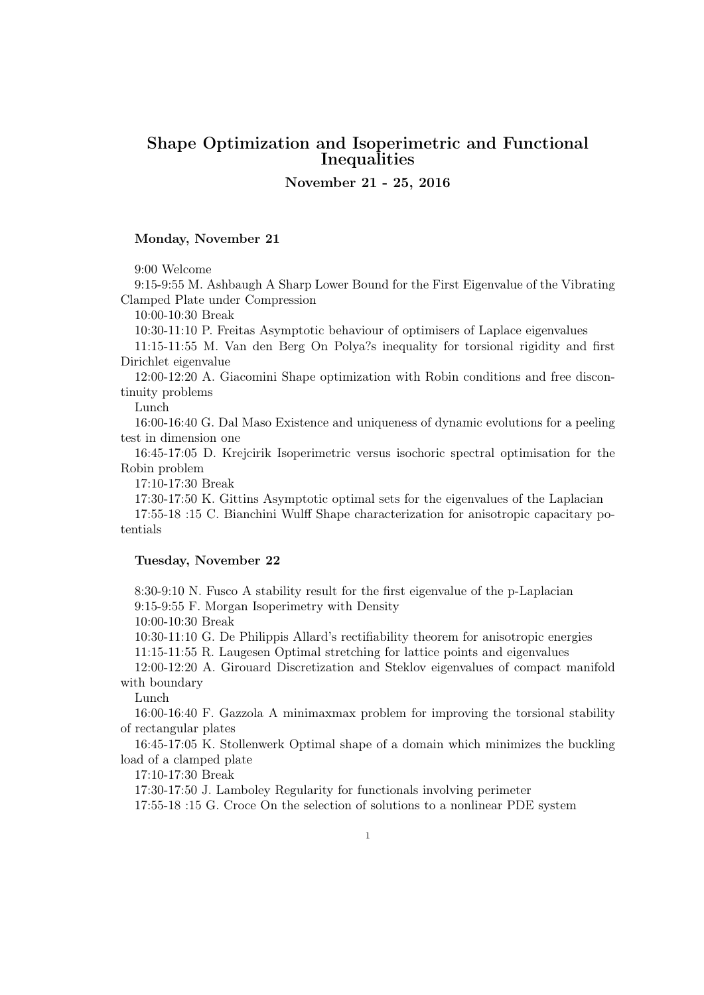# Shape Optimization and Isoperimetric and Functional Inequalities

November 21 - 25, 2016

## Monday, November 21

9:00 Welcome

9:15-9:55 M. Ashbaugh A Sharp Lower Bound for the First Eigenvalue of the Vibrating Clamped Plate under Compression

10:00-10:30 Break

10:30-11:10 P. Freitas Asymptotic behaviour of optimisers of Laplace eigenvalues

11:15-11:55 M. Van den Berg On Polya?s inequality for torsional rigidity and first Dirichlet eigenvalue

12:00-12:20 A. Giacomini Shape optimization with Robin conditions and free discontinuity problems

Lunch

16:00-16:40 G. Dal Maso Existence and uniqueness of dynamic evolutions for a peeling test in dimension one

16:45-17:05 D. Krejcirik Isoperimetric versus isochoric spectral optimisation for the Robin problem

17:10-17:30 Break

17:30-17:50 K. Gittins Asymptotic optimal sets for the eigenvalues of the Laplacian

17:55-18 :15 C. Bianchini Wulff Shape characterization for anisotropic capacitary potentials

### Tuesday, November 22

8:30-9:10 N. Fusco A stability result for the first eigenvalue of the p-Laplacian 9:15-9:55 F. Morgan Isoperimetry with Density

10:00-10:30 Break

10:30-11:10 G. De Philippis Allard's rectifiability theorem for anisotropic energies

11:15-11:55 R. Laugesen Optimal stretching for lattice points and eigenvalues

12:00-12:20 A. Girouard Discretization and Steklov eigenvalues of compact manifold with boundary

Lunch

16:00-16:40 F. Gazzola A minimaxmax problem for improving the torsional stability of rectangular plates

16:45-17:05 K. Stollenwerk Optimal shape of a domain which minimizes the buckling load of a clamped plate

17:10-17:30 Break

17:30-17:50 J. Lamboley Regularity for functionals involving perimeter

17:55-18 :15 G. Croce On the selection of solutions to a nonlinear PDE system